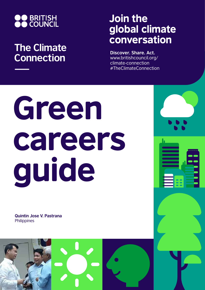

## **The Climate Connection**

## Join the global climate conversation

**Discover. Share. Act.** www.britishcouncil.org/ climate-connection #TheClimateConnection

## Green careers guide

**Quintin Jose V. Pastrana Philippines** 

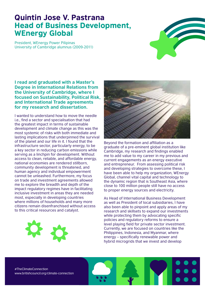## Quintin Jose V. Pastrana Head of Business Development, WEnergy Global

President, WEnergy Power Pilipinas University of Cambridge alumnus (2009-2011)



**I read and graduated with a Master's Degree in International Relations from the University of Cambridge, where I focused on Sustainability, Political Risk, and International Trade agreements for my research and dissertation.** 

I wanted to understand how to move the needle i.e., find a sector and specialisation that had the greatest impact in terms of sustainable development and climate change as this was the most systemic of risks with both immediate and lasting implications that underpinned the survival of the planet and our life in it. I found that the infrastructure sector, particularly energy, to be a key sector in reducing carbon emissions while serving as a linchpin for development. Without access to clean, reliable, and affordable energy, national economies are rendered stillborn, community development is threatened, and human agency and individual empowerment cannot be unleashed. Furthermore, my focus on trade and investment agreements allowed me to explore the breadth and depth of the impact regulatory regimes have in facilitating inclusive investment in areas they are needed most, especially in developing countries where millions of households and many more citizens remain disenfranchised without access to this critical resources and catalyst.





Beyond the formation and affiliation as a graduate of a pre-eminent global institution like Cambridge, my research and findings enabled me to add value to my career in my previous and current engagements as an energy executive and entrepreneur. From assessing political risk and developing strategies to overcome these, I have been able to help my organization, WEnergy Global, channel vital capital and technology to the dynamic region that is Southeast Asia, where close to 100 million people still have no access to proper energy sources and electricity.

As Head of International Business Development as well as President of local subsidiaries, I have also been able to pinpoint and apply areas of my research and skillsets to expand our investments while protecting them by advocating specific policies and regulatory reforms to ensure a level playing field for private sector investment. Currently, we are focused on countries like the Philippines, Indonesia, and Myanmar, where energy – specifically renewable power and hybrid microgrids that we invest and develop

#TheClimateConnection www.britishcouncil.org/climate-connection